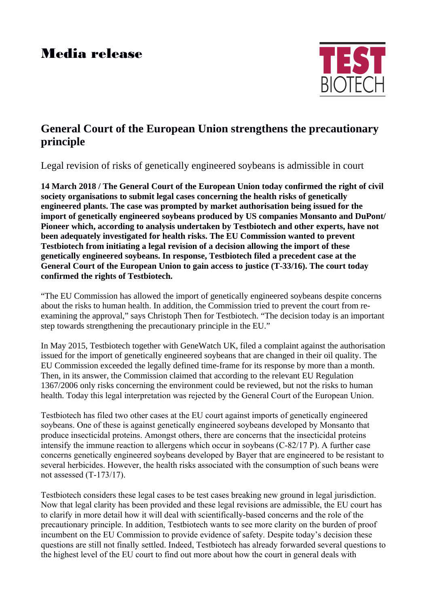## Media release



## **General Court of the European Union strengthens the precautionary principle**

Legal revision of risks of genetically engineered soybeans is admissible in court

**14 March 2018 / The General Court of the European Union today confirmed the right of civil society organisations to submit legal cases concerning the health risks of genetically engineered plants. The case was prompted by market authorisation being issued for the import of genetically engineered soybeans produced by US companies Monsanto and DuPont/ Pioneer which, according to analysis undertaken by Testbiotech and other experts, have not been adequately investigated for health risks. The EU Commission wanted to prevent Testbiotech from initiating a legal revision of a decision allowing the import of these genetically engineered soybeans. In response, Testbiotech filed a precedent case at the General Court of the European Union to gain access to justice (T-33/16). The court today confirmed the rights of Testbiotech.** 

"The EU Commission has allowed the import of genetically engineered soybeans despite concerns about the risks to human health. In addition, the Commission tried to prevent the court from reexamining the approval," says Christoph Then for Testbiotech. "The decision today is an important step towards strengthening the precautionary principle in the EU."

In May 2015, Testbiotech together with GeneWatch UK, filed a complaint against the authorisation issued for the import of genetically engineered soybeans that are changed in their oil quality. The EU Commission exceeded the legally defined time-frame for its response by more than a month. Then, in its answer, the Commission claimed that according to the relevant EU Regulation 1367/2006 only risks concerning the environment could be reviewed, but not the risks to human health. Today this legal interpretation was rejected by the General Court of the European Union.

Testbiotech has filed two other cases at the EU court against imports of genetically engineered soybeans. One of these is against genetically engineered soybeans developed by Monsanto that produce insecticidal proteins. Amongst others, there are concerns that the insecticidal proteins intensify the immune reaction to allergens which occur in soybeans (C-82/17 P). A further case concerns genetically engineered soybeans developed by Bayer that are engineered to be resistant to several herbicides. However, the health risks associated with the consumption of such beans were not assessed (T-173/17).

Testbiotech considers these legal cases to be test cases breaking new ground in legal jurisdiction. Now that legal clarity has been provided and these legal revisions are admissible, the EU court has to clarify in more detail how it will deal with scientifically-based concerns and the role of the precautionary principle. In addition, Testbiotech wants to see more clarity on the burden of proof incumbent on the EU Commission to provide evidence of safety. Despite today's decision these questions are still not finally settled. Indeed, Testbiotech has already forwarded several questions to the highest level of the EU court to find out more about how the court in general deals with